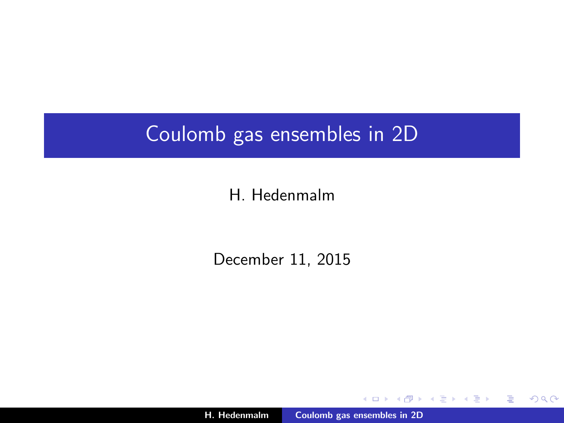### Coulomb gas ensembles in 2D

#### H. Hedenmalm

December 11, 2015

H. Hedenmalm [Coulomb gas ensembles in 2D](#page-37-0)

a mills.

+ n →

∢ 重→

す唐★

重

<span id="page-0-0"></span> $298$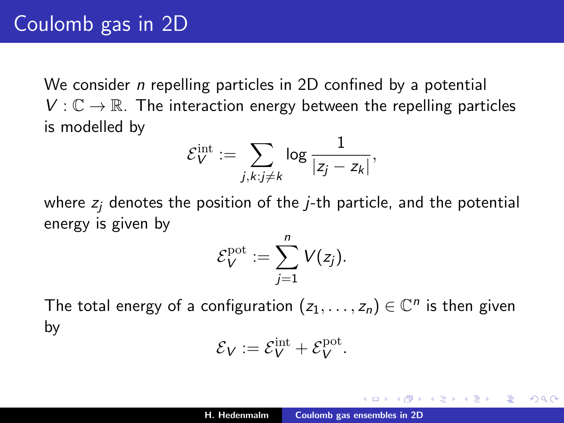We consider *n* repelling particles in 2D confined by a potential  $V: \mathbb{C} \to \mathbb{R}$ . The interaction energy between the repelling particles is modelled by

$$
\mathcal{E}_V^{\text{int}} := \sum_{j,k: j\neq k} \log \frac{1}{|z_j - z_k|},
$$

where  $z_i$  denotes the position of the *j*-th particle, and the potential energy is given by

$$
\mathcal{E}_V^{\text{pot}} := \sum_{j=1}^n V(z_j).
$$

The total energy of a configuration  $(z_1, \ldots, z_n) \in \mathbb{C}^n$  is then given by

$$
\mathcal{E}_V := \mathcal{E}_V^{\rm int} + \mathcal{E}_V^{\rm pot}.
$$

④ 重 お ④ 重 お …

へのへ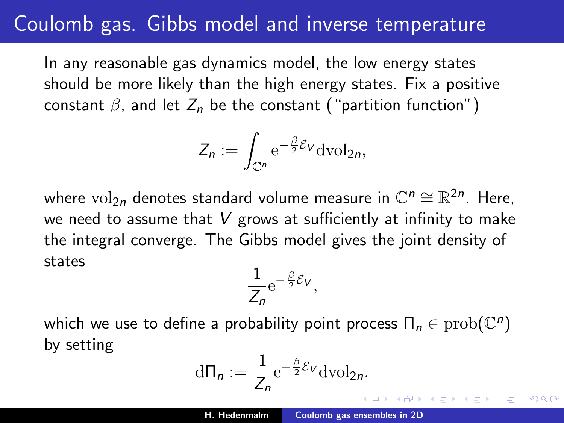#### Coulomb gas. Gibbs model and inverse temperature

In any reasonable gas dynamics model, the low energy states should be more likely than the high energy states. Fix a positive constant  $\beta$ , and let  $Z_n$  be the constant ("partition function")

$$
Z_n := \int_{\mathbb{C}^n} e^{-\frac{\beta}{2} \mathcal{E}_V} \mathrm{dvol}_{2n},
$$

where  $\mathrm{vol}_{2n}$  denotes standard volume measure in  $\mathbb{C}^n\cong\mathbb{R}^{2n}.$  Here, we need to assume that  $V$  grows at sufficiently at infinity to make the integral converge. The Gibbs model gives the joint density of states

$$
\frac{1}{Z_n}e^{-\frac{\beta}{2}\mathcal{E}_V},
$$

which we use to define a probability point process  $\overline{\Pi}_n \in \mathrm{prob}(\mathbb C^n)$ by setting

$$
d\Pi_n := \frac{1}{Z_n} e^{-\frac{\beta}{2} \mathcal{E}_V} dv_2_n.
$$

<span id="page-2-0"></span>御 ▶ ス ヨ ▶ ス ヨ ▶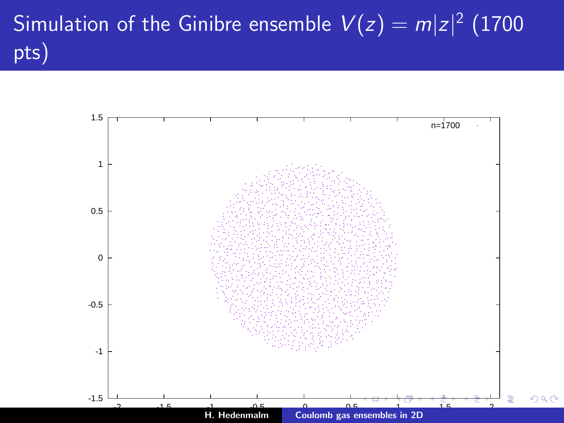# Simulation of the Ginibre ensemble  $\mathcal{V}(z) = m |z|^2$   $(1700$ pts)

<span id="page-3-0"></span>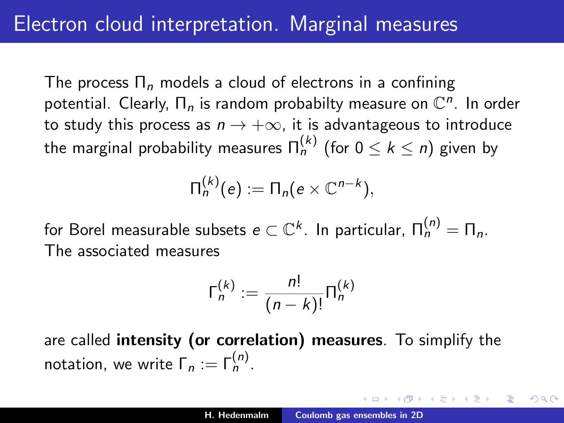The process  $\Pi_n$  models a cloud of electrons in a confining potential. Clearly,  $\Pi_n$  is random probabilty measure on  $\mathbb{C}^n$ . In order to study this process as  $n \to +\infty$ , it is advantageous to introduce the marginal probability measures  $\mathsf{\Pi}^{(k)}_n$  (for  $0\leq k\leq n)$  given by

$$
\Pi_n^{(k)}(e) := \Pi_n(e \times \mathbb{C}^{n-k}),
$$

for Borel measurable subsets  $e\subset \mathbb{C}^k$ . In particular,  $\Pi^{(n)}_n=\Pi_n.$ The associated measures

$$
\Gamma_n^{(k)} := \frac{n!}{(n-k)!} \Pi_n^{(k)}
$$

are called intensity (or correlation) measures. To simplify the notation, we write  $\Gamma_n := \Gamma_n^{(n)}$ .

<span id="page-4-0"></span>، ۵۵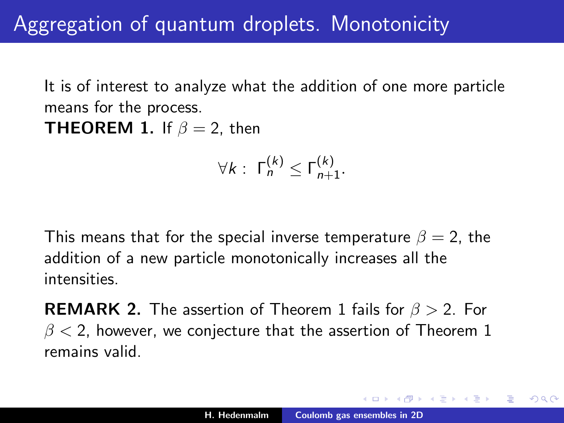It is of interest to analyze what the addition of one more particle means for the process.

**THEOREM 1.** If  $\beta = 2$ , then

$$
\forall k: \ \mathsf{\Gamma}_n^{(k)} \leq \mathsf{\Gamma}_{n+1}^{(k)}.
$$

This means that for the special inverse temperature  $\beta = 2$ , the addition of a new particle monotonically increases all the intensities.

**REMARK 2.** The assertion of Theorem 1 fails for  $\beta > 2$ . For  $\beta$  < 2, however, we conjecture that the assertion of Theorem 1 remains valid.

④重き ④重き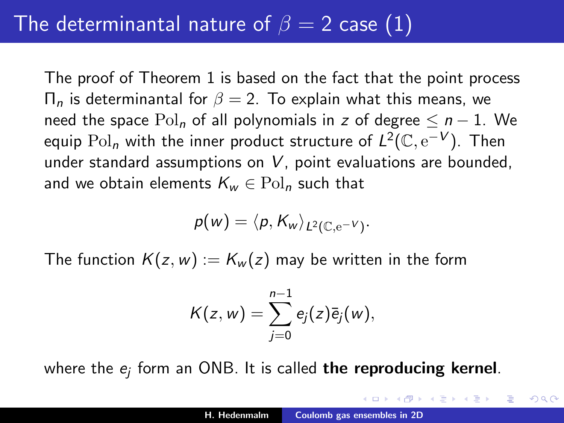#### The determinantal nature of  $\beta = 2$  case (1)

The proof of Theorem 1 is based on the fact that the point process  $\Pi_n$  is determinantal for  $\beta = 2$ . To explain what this means, we need the space  $Pol_n$  of all polynomials in z of degree  $\leq n-1$ . We equip  $\mathrm{Pol}_n$  with the inner product structure of  $L^2(\mathbb{C},\mathrm{e}^{-V}).$  Then under standard assumptions on  $V$ , point evaluations are bounded, and we obtain elements  $K_w \in \mathrm{Pol}_n$  such that

$$
p(w)=\langle p, K_w\rangle_{L^2(\mathbb{C},e^{-V})}.
$$

The function  $K(z, w) := K_w(z)$  may be written in the form

$$
K(z, w) = \sum_{j=0}^{n-1} e_j(z) \overline{e}_j(w),
$$

where the  $e_j$  form an ONB. It is called **the reproducing kernel**.

**SALE AND**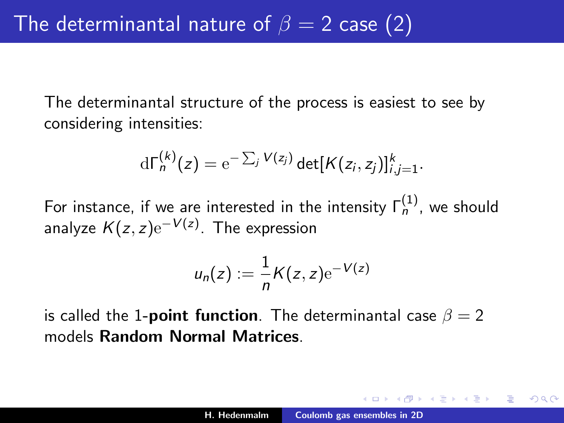The determinantal structure of the process is easiest to see by considering intensities:

$$
d\Gamma_n^{(k)}(z) = e^{-\sum_j V(z_j)} det[K(z_i, z_j)]_{i,j=1}^k.
$$

For instance, if we are interested in the intensity  $\mathsf{\Gamma}_n^{(1)}$ , we should analyze  $K(z,z){\rm e}^{-V(z)}$ . The expression

$$
u_n(z) := \frac{1}{n}K(z, z) e^{-V(z)}
$$

is called the 1-**point function**. The determinantal case  $\beta = 2$ models Random Normal Matrices.

へのへ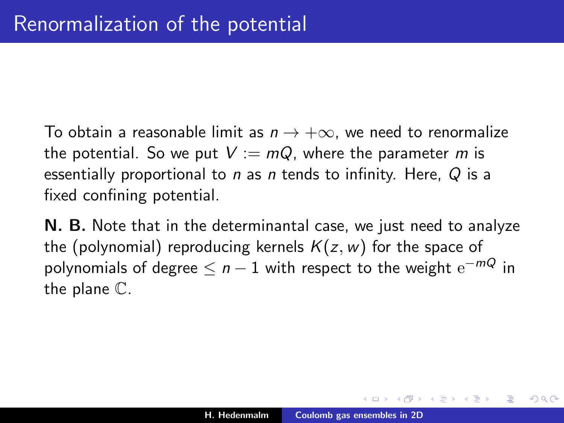To obtain a reasonable limit as  $n \to +\infty$ , we need to renormalize the potential. So we put  $V := mQ$ , where the parameter m is essentially proportional to  $n$  as  $n$  tends to infinity. Here,  $Q$  is a fixed confining potential.

N. B. Note that in the determinantal case, we just need to analyze the (polynomial) reproducing kernels  $K(z, w)$  for the space of polynomials of degree  $\leq$   $n-1$  with respect to the weight  $\mathrm{e}^{-m\mathcal{Q}}$  in the plane C.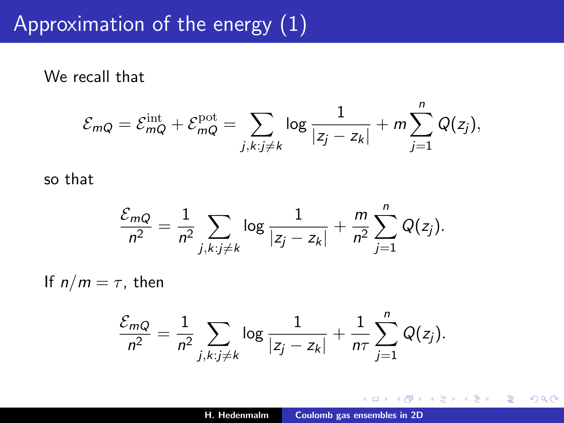### Approximation of the energy (1)

We recall that

$$
\mathcal{E}_{mQ} = \mathcal{E}_{mQ}^{\text{int}} + \mathcal{E}_{mQ}^{\text{pot}} = \sum_{j,k:j\neq k} \log \frac{1}{|z_j - z_k|} + m \sum_{j=1}^{n} Q(z_j),
$$

so that

$$
\frac{\mathcal{E}_{mQ}}{n^2} = \frac{1}{n^2} \sum_{j,k: j \neq k} \log \frac{1}{|z_j - z_k|} + \frac{m}{n^2} \sum_{j=1}^n Q(z_j).
$$

If  $n/m = \tau$ , then

$$
\frac{\mathcal{E}_{mQ}}{n^2} = \frac{1}{n^2} \sum_{j,k: j \neq k} \log \frac{1}{|z_j - z_k|} + \frac{1}{n\tau} \sum_{j=1}^n Q(z_j).
$$

a mills.

 $\rightarrow$   $\oplus$   $\rightarrow$ 

医蛋白 医蛋白

重

 $2Q$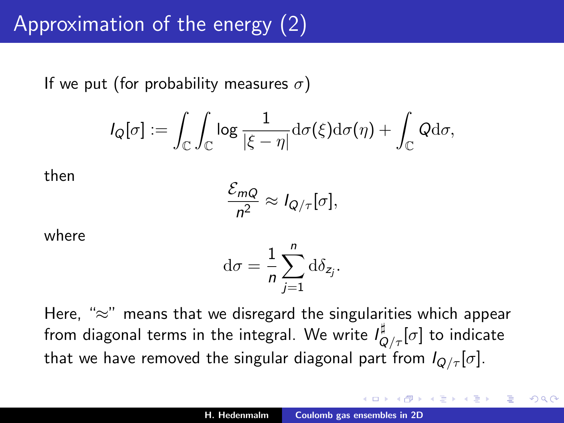If we put (for probability measures  $\sigma$ )

$$
I_Q[\sigma]:=\int_{\mathbb C}\int_{\mathbb C}\log\frac{1}{|\xi-\eta|}\mathrm{d}\sigma(\xi)\mathrm{d}\sigma(\eta)+\int_{\mathbb C}Q\mathrm{d}\sigma,
$$

then

$$
\frac{\mathcal{E}_{mQ}}{n^2} \approx I_{Q/\tau}[\sigma],
$$

where

$$
\mathrm{d}\sigma = \frac{1}{n}\sum_{j=1}^n \mathrm{d}\delta_{z_j}.
$$

Here, "≈" means that we disregard the singularities which appear from diagonal terms in the integral. We write  $\mathit{l}^{\sharp}_{Q/\tau}[\sigma]$  to indicate that we have removed the singular diagonal part from  $I_{Q/\tau}[\sigma]$ .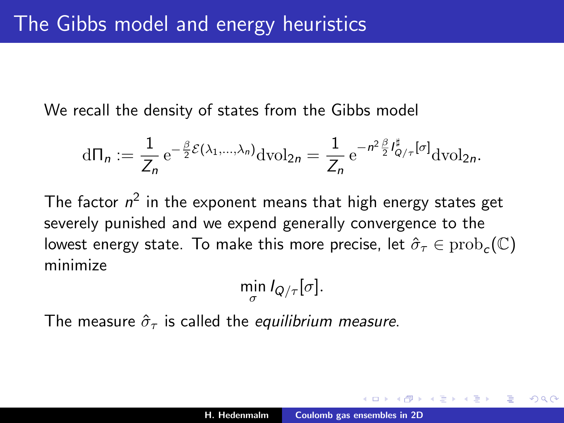We recall the density of states from the Gibbs model

$$
d\Pi_n := \frac{1}{Z_n} e^{-\frac{\beta}{2}\mathcal{E}(\lambda_1,\ldots,\lambda_n)} \mathrm{dvol}_{2n} = \frac{1}{Z_n} e^{-n^2 \frac{\beta}{2} I_{Q/\tau}^{\sharp}[\sigma]} \mathrm{dvol}_{2n}.
$$

The factor  $n^2$  in the exponent means that high energy states get severely punished and we expend generally convergence to the lowest energy state. To make this more precise, let  $\hat{\sigma}_\tau \in \mathrm{prob}_c(\mathbb{C})$ minimize

$$
\min_{\sigma} I_{Q/\tau}[\sigma].
$$

The measure  $\hat{\sigma}_{\tau}$  is called the equilibrium measure.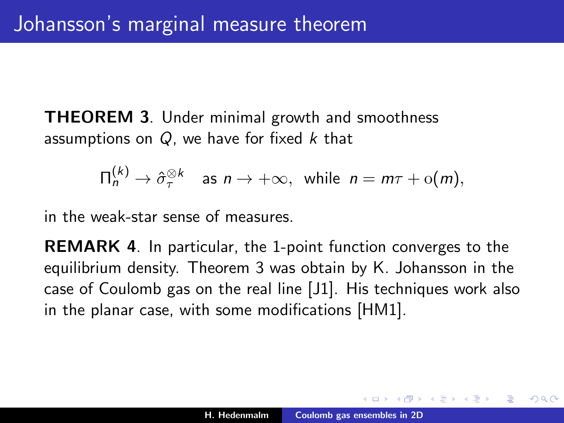**THEOREM 3.** Under minimal growth and smoothness assumptions on  $Q$ , we have for fixed  $k$  that

$$
\Pi_n^{(k)} \to \hat{\sigma}_{\tau}^{\otimes k} \quad \text{as } n \to +\infty, \text{ while } n = m\tau + o(m),
$$

in the weak-star sense of measures.

REMARK 4. In particular, the 1-point function converges to the equilibrium density. Theorem 3 was obtain by K. Johansson in the case of Coulomb gas on the real line [J1]. His techniques work also in the planar case, with some modifications [HM1].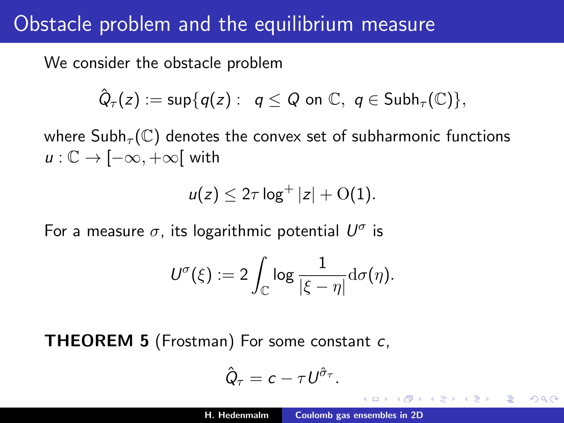#### Obstacle problem and the equilibrium measure

We consider the obstacle problem

$$
\hat{Q}_{\tau}(z) := \sup \{q(z): q \leq Q \text{ on } \mathbb{C}, q \in \mathsf{Subh}_{\tau}(\mathbb{C})\},
$$

where  $\mathsf{Subh}_{\tau}(\mathbb{C})$  denotes the convex set of subharmonic functions  $u: \mathbb{C} \to [-\infty, +\infty]$  with

$$
u(z)\leq 2\tau\log^+|z|+\mathrm{O}(1).
$$

For a measure  $\sigma$ , its logarithmic potential  $U^{\sigma}$  is

$$
U^{\sigma}(\xi):=2\int_{\mathbb{C}}\log\frac{1}{|\xi-\eta|}\mathrm{d}\sigma(\eta).
$$

**THEOREM 5** (Frostman) For some constant c,

$$
\hat{Q}_{\tau}=c-\tau U^{\hat{\sigma}_{\tau}}.
$$

へのへ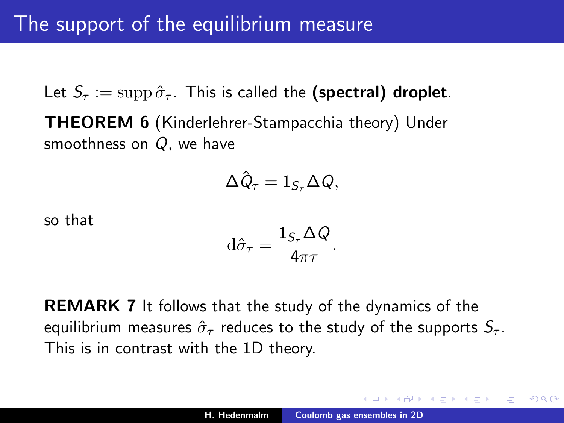Let  $S_{\tau} := \text{supp} \hat{\sigma}_{\tau}$ . This is called the (spectral) droplet. THEOREM 6 (Kinderlehrer-Stampacchia theory) Under smoothness on Q, we have

$$
\Delta \hat{Q}_{\tau}=1_{\mathcal{S}_{\tau}}\Delta Q,
$$

so that

<span id="page-14-0"></span>
$$
\mathrm{d}\hat{\sigma}_{\tau} = \frac{1_{\mathcal{S}_{\tau}}\Delta Q}{4\pi\tau}.
$$

REMARK 7 It follows that the study of the dynamics of the equilibrium measures  $\hat{\sigma}_{\tau}$  reduces to the study of the supports  $S_{\tau}$ . This is in contrast with the 1D theory.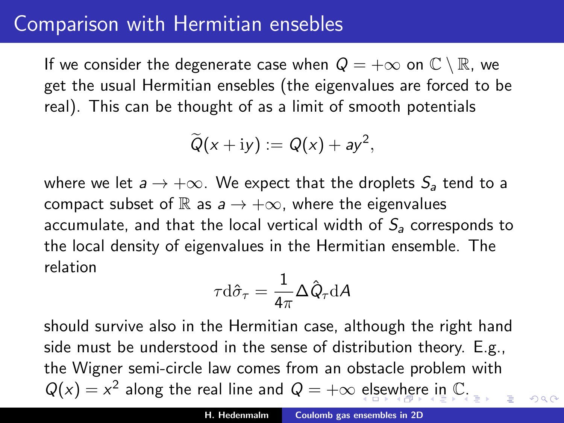#### Comparison with Hermitian ensebles

If we consider the degenerate case when  $Q = +\infty$  on  $\mathbb{C} \setminus \mathbb{R}$ , we get the usual Hermitian ensebles (the eigenvalues are forced to be real). This can be thought of as a limit of smooth potentials

$$
\widetilde{Q}(x+iy):=Q(x)+ay^2,
$$

where we let  $a \rightarrow +\infty$ . We expect that the droplets  $S_a$  tend to a compact subset of R as  $a \rightarrow +\infty$ , where the eigenvalues accumulate, and that the local vertical width of  $S_a$  corresponds to the local density of eigenvalues in the Hermitian ensemble. The relation

$$
\tau \mathrm{d} \hat{\sigma}_\tau = \frac{1}{4\pi} \Delta \hat{Q}_\tau \mathrm{d} A
$$

should survive also in the Hermitian case, although the right hand side must be understood in the sense of distribution theory. E.g., the Wigner semi-circle law comes from an obstacle problem with  $Q(x) = x^2$  along th[e](#page-16-0) [re](#page-16-0)al line and  $Q = +\infty$  [el](#page-14-0)se[w](#page-14-0)[he](#page-15-0)re [in](#page-0-0) [C](#page-37-0)[.](#page-0-0)

<span id="page-15-0"></span> $\Omega$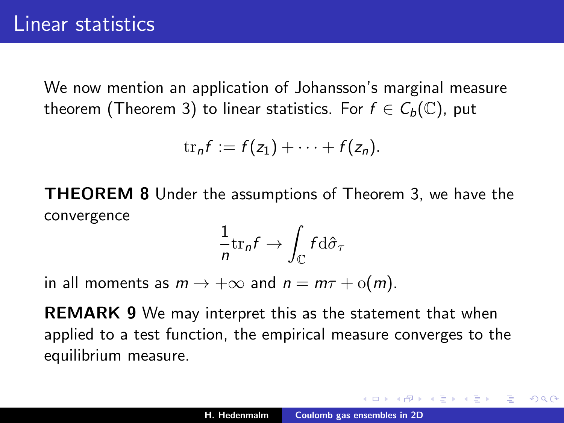We now mention an application of Johansson's marginal measure theorem (Theorem 3) to linear statistics. For  $f \in C_b(\mathbb{C})$ , put

$$
\mathrm{tr}_n f := f(z_1) + \cdots + f(z_n).
$$

THEOREM 8 Under the assumptions of Theorem 3, we have the convergence

$$
\frac{1}{n}\text{tr}_n f \to \int_{\mathbb{C}} f \, \mathrm{d}\hat{\sigma}_\tau
$$

in all moments as  $m \to +\infty$  and  $n = m\tau + o(m)$ .

REMARK 9 We may interpret this as the statement that when applied to a test function, the empirical measure converges to the equilibrium measure.

医电影 化重新分

<span id="page-16-0"></span> $\Omega$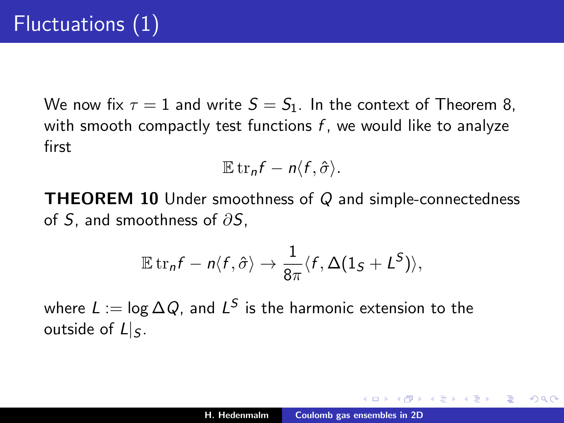We now fix  $\tau = 1$  and write  $S = S_1$ . In the context of Theorem 8, with smooth compactly test functions  $f$ , we would like to analyze first

$$
\mathbb{E}\operatorname{tr}_n f-n\langle f,\hat{\sigma}\rangle.
$$

**THEOREM 10** Under smoothness of  $Q$  and simple-connectedness of S, and smoothness of  $\partial S$ ,

$$
\mathbb{E} \operatorname{tr}_n f - n \langle f, \hat{\sigma} \rangle \to \frac{1}{8\pi} \langle f, \Delta(1_S + L^S) \rangle,
$$

where  $L:=\log \Delta Q$ , and  $L^S$  is the harmonic extension to the outside of  $L|_S$ .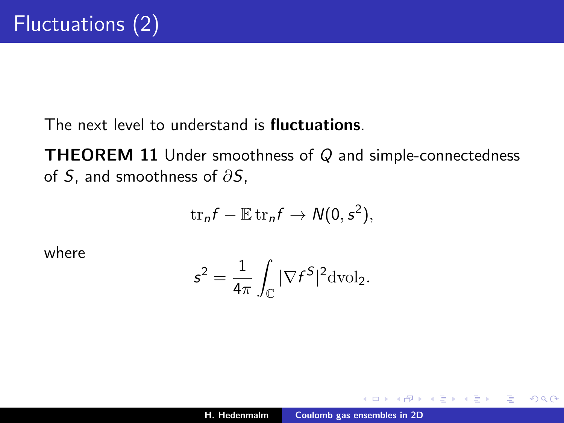The next level to understand is **fluctuations**.

**THEOREM 11** Under smoothness of  $Q$  and simple-connectedness of S, and smoothness of  $\partial S$ ,

$$
\mathrm{tr}_n f - \mathbb{E} \,\mathrm{tr}_n f \to N(0,s^2),
$$

where

$$
s^2 = \frac{1}{4\pi} \int_{\mathbb{C}} |\nabla f^S|^2 \mathrm{dvol}_2.
$$

 $\leftarrow$   $\Box$ 

 $2Q$ 

K 로 )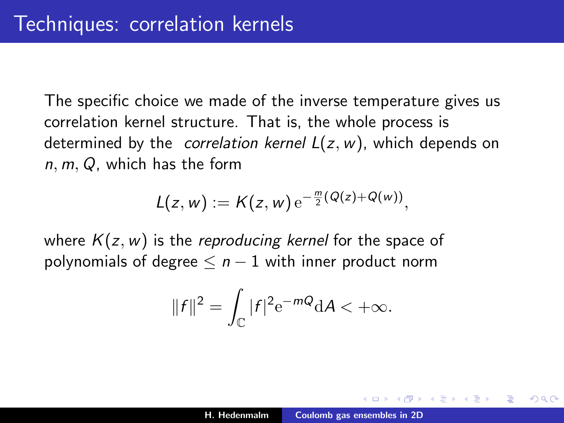The specific choice we made of the inverse temperature gives us correlation kernel structure. That is, the whole process is determined by the *correlation kernel*  $L(z, w)$ , which depends on n, m, Q, which has the form

$$
L(z,w):=K(z,w)\,\mathrm{e}^{-\frac{m}{2}(Q(z)+Q(w))},
$$

where  $K(z, w)$  is the reproducing kernel for the space of polynomials of degree  $\leq n-1$  with inner product norm

$$
||f||^2 = \int_{\mathbb{C}} |f|^2 e^{-mQ} dA < +\infty.
$$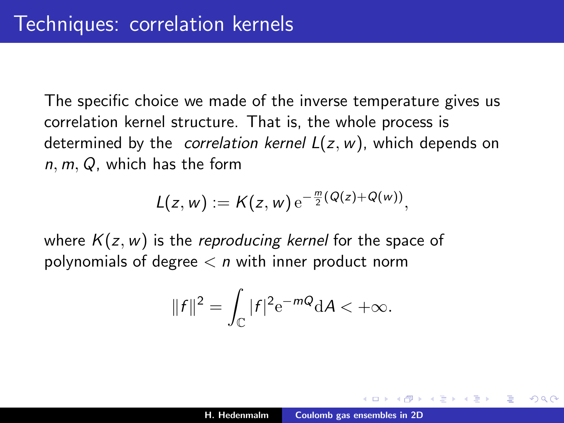The specific choice we made of the inverse temperature gives us correlation kernel structure. That is, the whole process is determined by the *correlation kernel*  $L(z, w)$ , which depends on n, m, Q, which has the form

$$
L(z,w):=K(z,w)\,\mathrm{e}^{-\frac{m}{2}(Q(z)+Q(w))},
$$

where  $K(z, w)$  is the reproducing kernel for the space of polynomials of degree  $\lt n$  with inner product norm

$$
||f||^2 = \int_{\mathbb{C}} |f|^2 e^{-mQ} dA < +\infty.
$$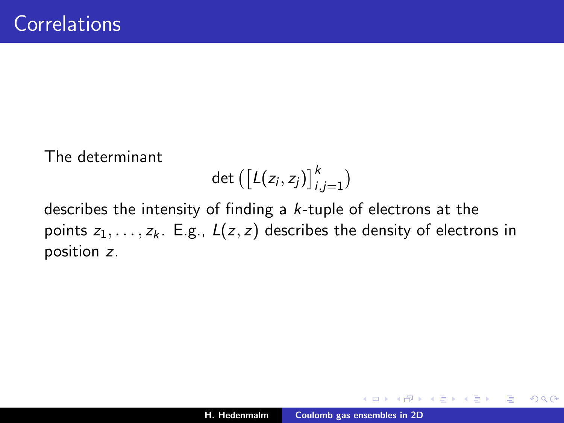The determinant

$$
\det\left(\left[L(z_i, z_j)\right]_{i,j=1}^k\right)
$$

describes the intensity of finding a k-tuple of electrons at the points  $z_1, \ldots, z_k$ . E.g.,  $L(z, z)$  describes the density of electrons in position z.

 $2Q$ 

K 로 )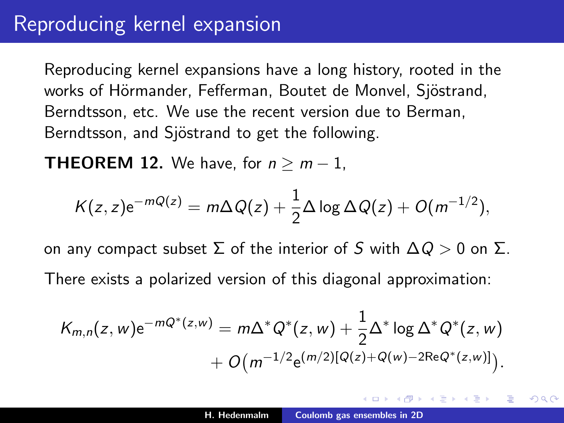#### Reproducing kernel expansion

Reproducing kernel expansions have a long history, rooted in the works of Hörmander, Fefferman, Boutet de Monvel, Sjöstrand, Berndtsson, etc. We use the recent version due to Berman, Berndtsson, and Sjöstrand to get the following.

**THEOREM 12.** We have, for  $n \ge m-1$ ,

$$
K(z, z)e^{-mQ(z)} = m\Delta Q(z) + \frac{1}{2}\Delta \log \Delta Q(z) + O(m^{-1/2}),
$$

on any compact subset  $\Sigma$  of the interior of S with  $\Delta Q > 0$  on  $\Sigma$ . There exists a polarized version of this diagonal approximation:

$$
K_{m,n}(z,w) e^{-mQ^*(z,w)} = m\Delta^* Q^*(z,w) + \frac{1}{2}\Delta^* \log \Delta^* Q^*(z,w) + O(m^{-1/2}e^{(m/2)[Q(z)+Q(w)-2ReQ^*(z,w)]}).
$$

へのへ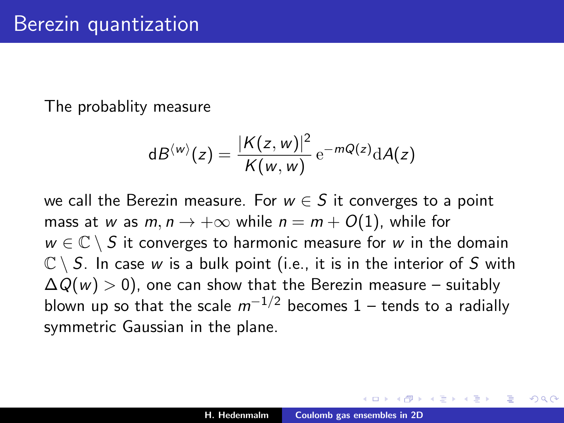The probablity measure

$$
dB^{\langle w \rangle}(z) = \frac{|K(z, w)|^2}{K(w, w)} e^{-mQ(z)} dA(z)
$$

we call the Berezin measure. For  $w \in S$  it converges to a point mass at w as  $m, n \rightarrow +\infty$  while  $n = m + O(1)$ , while for  $w \in \mathbb{C} \setminus S$  it converges to harmonic measure for w in the domain  $\mathbb{C} \setminus S$ . In case w is a bulk point (i.e., it is in the interior of S with  $\Delta Q(w) > 0$ , one can show that the Berezin measure – suitably blown up so that the scale  $m^{-1/2}$  becomes 1 – tends to a radially symmetric Gaussian in the plane.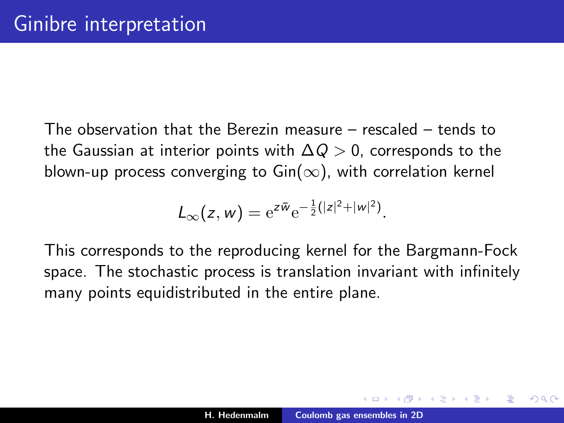The observation that the Berezin measure – rescaled – tends to the Gaussian at interior points with  $\Delta Q > 0$ , corresponds to the blown-up process converging to  $\text{Gin}(\infty)$ , with correlation kernel

$$
L_{\infty}(z, w) = e^{z\bar{w}}e^{-\frac{1}{2}(|z|^2 + |w|^2)}.
$$

This corresponds to the reproducing kernel for the Bargmann-Fock space. The stochastic process is translation invariant with infinitely many points equidistributed in the entire plane.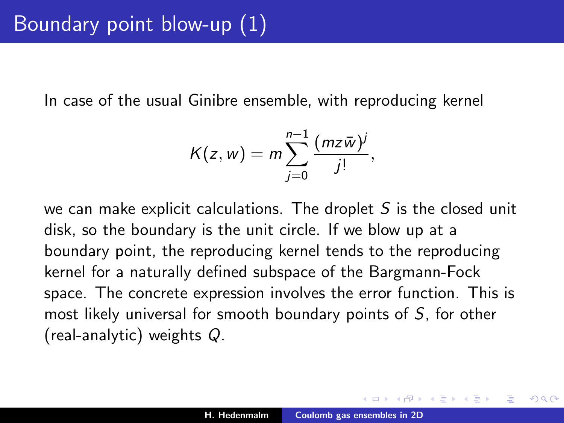In case of the usual Ginibre ensemble, with reproducing kernel

$$
K(z, w) = m \sum_{j=0}^{n-1} \frac{(m \overline{z} \overline{w})^j}{j!},
$$

we can make explicit calculations. The droplet  $S$  is the closed unit disk, so the boundary is the unit circle. If we blow up at a boundary point, the reproducing kernel tends to the reproducing kernel for a naturally defined subspace of the Bargmann-Fock space. The concrete expression involves the error function. This is most likely universal for smooth boundary points of S, for other (real-analytic) weights Q.

∽≏ເ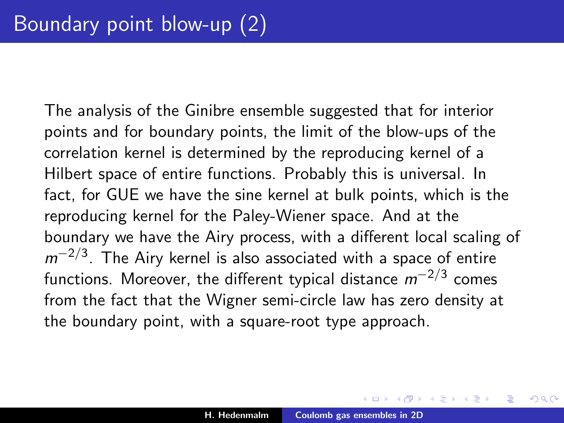The analysis of the Ginibre ensemble suggested that for interior points and for boundary points, the limit of the blow-ups of the correlation kernel is determined by the reproducing kernel of a Hilbert space of entire functions. Probably this is universal. In fact, for GUE we have the sine kernel at bulk points, which is the reproducing kernel for the Paley-Wiener space. And at the boundary we have the Airy process, with a different local scaling of  $m^{-2/3}$ . The Airy kernel is also associated with a space of entire functions. Moreover, the different typical distance  $m^{-2/3}$  comes from the fact that the Wigner semi-circle law has zero density at the boundary point, with a square-root type approach.

→ 伊 ▶ → ヨ ▶ → ヨ ▶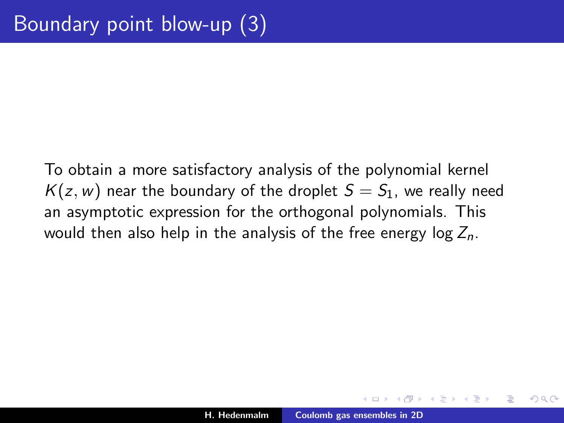To obtain a more satisfactory analysis of the polynomial kernel  $K(z, w)$  near the boundary of the droplet  $S = S<sub>1</sub>$ , we really need an asymptotic expression for the orthogonal polynomials. This would then also help in the analysis of the free energy  $log Z_n$ .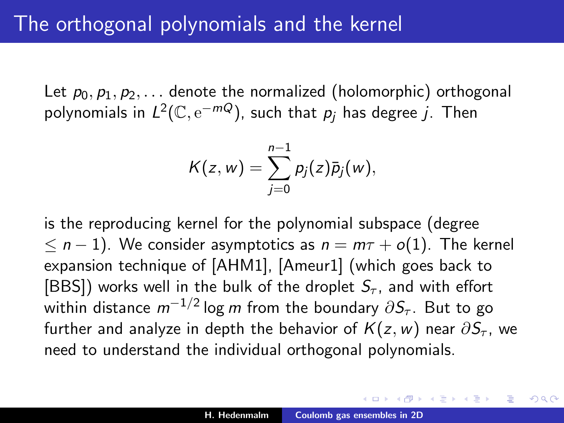Let  $p_0, p_1, p_2, \ldots$  denote the normalized (holomorphic) orthogonal polynomials in  $L^2(\mathbb C,\mathrm e^{-mQ})$ , such that  $p_j$  has degree  $j$ . Then

$$
K(z, w) = \sum_{j=0}^{n-1} p_j(z) \bar{p}_j(w),
$$

is the reproducing kernel for the polynomial subspace (degree  $\leq n-1$ ). We consider asymptotics as  $n = m\tau + o(1)$ . The kernel expansion technique of [AHM1], [Ameur1] (which goes back to [BBS]) works well in the bulk of the droplet  $S_{\tau}$ , and with effort within distance  $m^{-1/2}\log m$  from the boundary  $\partial\mathcal{S}_{\tau}.$  But to go further and analyze in depth the behavior of  $K(z, w)$  near  $\partial S_{\tau}$ , we need to understand the individual orthogonal polynomials.

メタトメミトメミト

∽≏ເ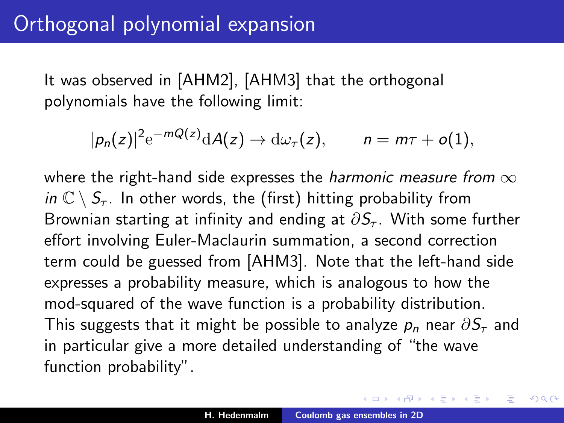It was observed in [AHM2], [AHM3] that the orthogonal polynomials have the following limit:

$$
|p_n(z)|^2 e^{-mQ(z)} dA(z) \to d\omega_\tau(z), \qquad n = m\tau + o(1),
$$

where the right-hand side expresses the *harmonic measure from*  $\infty$ in  $\mathbb{C} \setminus S_{\tau}$ . In other words, the (first) hitting probability from Brownian starting at infinity and ending at  $\partial S_{\tau}$ . With some further effort involving Euler-Maclaurin summation, a second correction term could be guessed from [AHM3]. Note that the left-hand side expresses a probability measure, which is analogous to how the mod-squared of the wave function is a probability distribution. This suggests that it might be possible to analyze  $p_n$  near  $\partial S_{\tau}$  and in particular give a more detailed understanding of "the wave function probability".

御き メミメ メミメー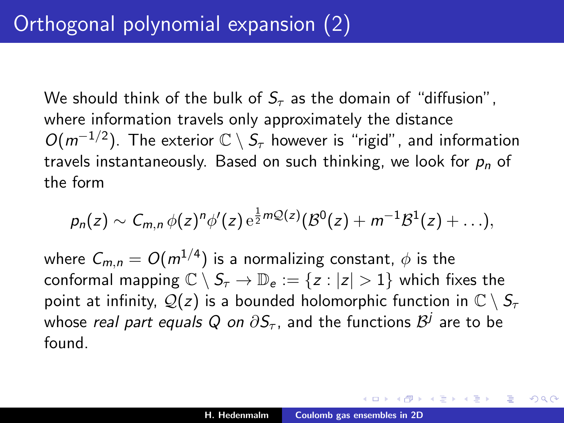We should think of the bulk of  $S_{\tau}$  as the domain of "diffusion", where information travels only approximately the distance  $O(m^{-1/2})$ . The exterior  $\mathbb{C} \setminus S_{\tau}$  however is "rigid", and information travels instantaneously. Based on such thinking, we look for  $p_n$  of the form

$$
p_n(z) \sim C_{m,n} \phi(z)^n \phi'(z) e^{\frac{1}{2} m \mathcal{Q}(z)} (\mathcal{B}^0(z) + m^{-1} \mathcal{B}^1(z) + \ldots),
$$

where  $\mathcal{C}_{m,n} = O(m^{1/4})$  is a normalizing constant,  $\phi$  is the conformal mapping  $\mathbb{C} \setminus S_{\tau} \to \mathbb{D}_{e} := \{z : |z| > 1\}$  which fixes the point at infinity,  $Q(z)$  is a bounded holomorphic function in  $\mathbb{C} \setminus S_{\tau}$ whose *real part equals Q on*  $\partial \mathcal{S}_{\tau}$ *,* and the functions  $\mathcal{B}^j$  are to be found.

す (伊) ト す (白) ト す (白) トー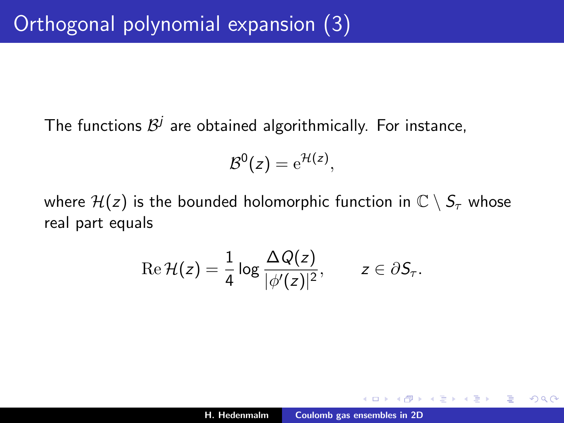The functions  $\mathcal{B}^j$  are obtained algorithmically. For instance,

$$
\mathcal{B}^0(z) = e^{\mathcal{H}(z)},
$$

where  $\mathcal{H}(z)$  is the bounded holomorphic function in  $\mathbb{C} \setminus S_{\tau}$  whose real part equals

$$
\operatorname{Re} \mathcal{H}(z) = \frac{1}{4} \log \frac{\Delta Q(z)}{|\phi'(z)|^2}, \qquad z \in \partial S_{\tau}.
$$

④重き ④重き 。

 $290$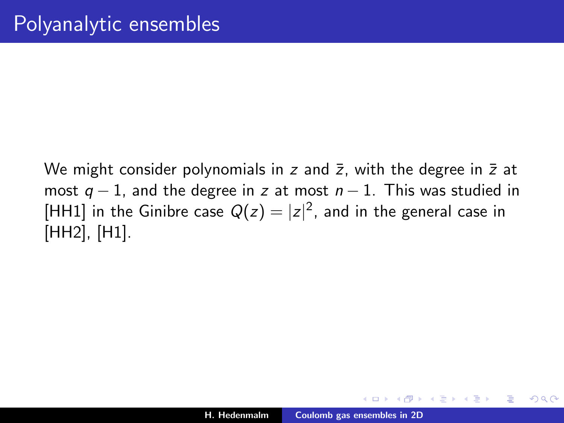We might consider polynomials in z and  $\bar{z}$ , with the degree in  $\bar{z}$  at most  $q - 1$ , and the degree in z at most  $n - 1$ . This was studied in [HH1] in the Ginibre case  $Q(z) = |z|^2$ , and in the general case in [HH2], [H1].

∢ 重 ≯ → (重 ≯

つくい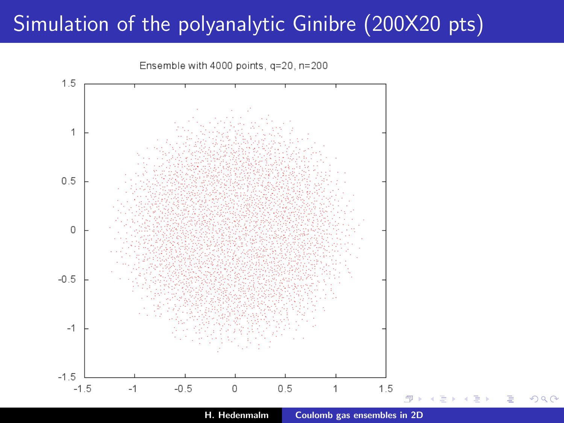#### Simulation of the polyanalytic Ginibre (200X20 pts)



H. Hedenmalm [Coulomb gas ensembles in 2D](#page-0-0)

n a G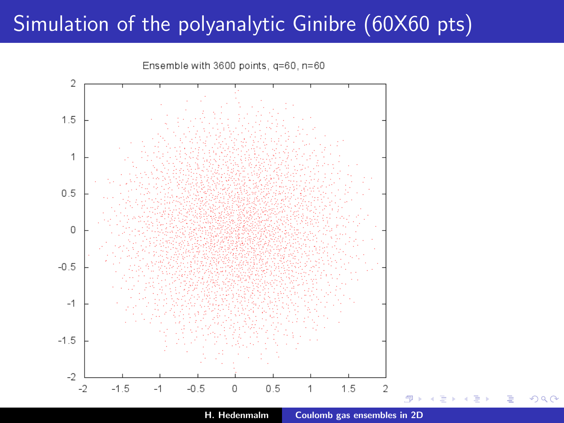### Simulation of the polyanalytic Ginibre (60X60 pts)



H. Hedenmalm [Coulomb gas ensembles in 2D](#page-0-0)

つへへ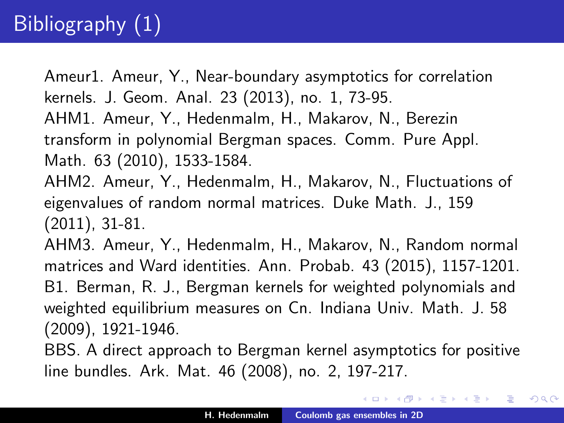### Bibliography (1)

Ameur1. Ameur, Y., Near-boundary asymptotics for correlation kernels. J. Geom. Anal. 23 (2013), no. 1, 73-95. AHM1. Ameur, Y., Hedenmalm, H., Makarov, N., Berezin transform in polynomial Bergman spaces. Comm. Pure Appl. Math. 63 (2010), 1533-1584.

AHM2. Ameur, Y., Hedenmalm, H., Makarov, N., Fluctuations of eigenvalues of random normal matrices. Duke Math. J., 159 (2011), 31-81.

AHM3. Ameur, Y., Hedenmalm, H., Makarov, N., Random normal matrices and Ward identities. Ann. Probab. 43 (2015), 1157-1201. B1. Berman, R. J., Bergman kernels for weighted polynomials and weighted equilibrium measures on Cn. Indiana Univ. Math. J. 58 (2009), 1921-1946.

BBS. A direct approach to Bergman kernel asymptotics for positive line bundles. Ark. Mat. 46 (2008), no. 2, 197-217.

メ 御 メ メ ヨ メ メ ヨ メー

<span id="page-35-0"></span> $2Q$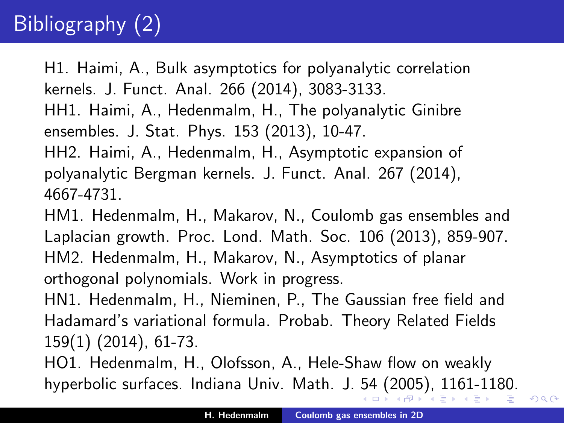# Bibliography (2)

H1. Haimi, A., Bulk asymptotics for polyanalytic correlation kernels. J. Funct. Anal. 266 (2014), 3083-3133. HH1. Haimi, A., Hedenmalm, H., The polyanalytic Ginibre ensembles. J. Stat. Phys. 153 (2013), 10-47. HH2. Haimi, A., Hedenmalm, H., Asymptotic expansion of polyanalytic Bergman kernels. J. Funct. Anal. 267 (2014), 4667-4731.

HM1. Hedenmalm, H., Makarov, N., Coulomb gas ensembles and Laplacian growth. Proc. Lond. Math. Soc. 106 (2013), 859-907. HM2. Hedenmalm, H., Makarov, N., Asymptotics of planar orthogonal polynomials. Work in progress.

HN1. Hedenmalm, H., Nieminen, P., The Gaussian free field and Hadamard's variational formula. Probab. Theory Related Fields 159(1) (2014), 61-73.

HO1. Hedenmalm, H., Olofsson, A., Hele-Shaw flow on weakly hyperbolic surfaces. Indiana Univ. Math. J. [54](#page-35-0) [\(](#page-37-0)[2](#page-35-0)[00](#page-36-0)[5](#page-37-0)[\),](#page-0-0) [11](#page-37-0)[61-](#page-0-0)[11](#page-37-0)[8](#page-0-0)[0.](#page-37-0)

<span id="page-36-0"></span>つへへ